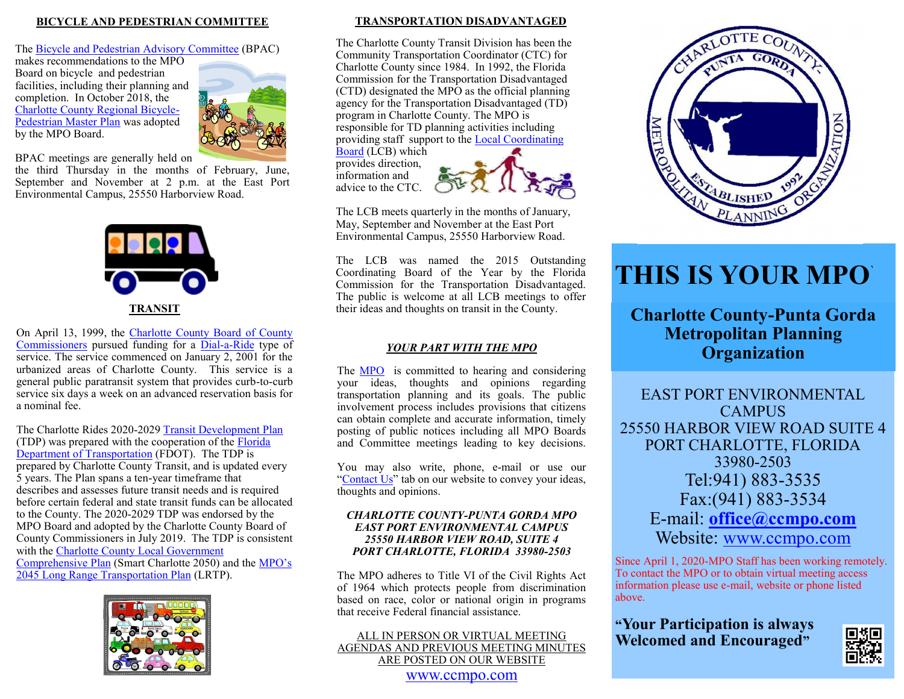## **BICYCLE AND PEDESTRIAN COMMITTEE**

#### The [Bicycle and Pedestrian Advisory Committee](https://ccmpo.com/wp/about-mpo/committee_info/) (BPAC)

makes recommendations to the MPO Board on bicycle and pedestrian facilities, including their planning and completion. In October 2018, the [Charlotte County Regional Bicycle](https://ccmpo.com/wp/charlotte-regional-bicycle-pedestrian-master-plan/)-[Pedestrian Master Plan](https://ccmpo.com/wp/charlotte-regional-bicycle-pedestrian-master-plan/) was adopted by the MPO Board.



BPAC meetings are generally held on

the third Thursday in the months of February, June, September and November at 2 p.m. at the East Port Environmental Campus, 25550 Harborview Road.



 a nominal fee. On April 13, 1999, the [Charlotte County Board of County](https://www.charlottecountyfl.gov/commission-office/)  [Commissioners](https://www.charlottecountyfl.gov/commission-office/) pursued funding for a Dial-a-[Ride](https://www.charlottecountyfl.gov/transit/) type of service. The service commenced on January 2, 2001 for the urbanized areas of Charlotte County. This service is a general public paratransit system that provides curb-to-curb service six days a week on an advanced reservation basis for

The Charlotte Rides 2020-2029 [Transit Development Plan](https://ccmpo.com/wp/transit-development-plan/) (TDP) was prepared with the cooperation of the [Florida](https://www.fdot.gov/)  [Department of Transportation](https://www.fdot.gov/) (FDOT). The TDP is prepared by Charlotte County Transit, and is updated every 5 years. The Plan spans a ten-year timeframe that describes and assesses future transit needs and is required before certain federal and state transit funds can be allocated to the County. The 2020-2029 TDP was endorsed by the MPO Board and adopted by the Charlotte County Board of County Commissioners in July 2019. The TDP is consistent with the [Charlotte County Local Government](https://www.charlottecountyfl.gov/departments/community-development/planning-zoning/comprehensive-planning/charlotte-2050/)  [Comprehensive Plan](https://www.charlottecountyfl.gov/departments/community-development/planning-zoning/comprehensive-planning/charlotte-2050/) (Smart Charlotte 2050) and the [MPO](https://ccmpo.com/wp/2045-long-range-transportation-plan/)'s [2045 Long Range Transportation Plan](https://ccmpo.com/wp/2045-long-range-transportation-plan/) (LRTP).



## **TRANSPORTATION DISADVANTAGED**

The Charlotte County Transit Division has been the Community Transportation Coordinator (CTC) for Charlotte County since 1984. In 1992, the Florida Commission for the Transportation Disadvantaged (CTD) designated the MPO as the official planning agency for the Transportation Disadvantaged (TD) program in Charlotte County. The MPO is responsible for TD planning activities including providing staff support to the [Local Coordinating](https://ccmpo.com/wp/about-mpo/committee_info/) 

[Board](https://ccmpo.com/wp/about-mpo/committee_info/) (LCB) which provides direction, information and advice to the CTC.



The LCB meets quarterly in the months of January, May, September and November at the East Port Environmental Campus, 25550 Harborview Road.

The LCB was named the 2015 Outstanding Coordinating Board of the Year by the Florida Commission for the Transportation Disadvantaged. The public is welcome at all LCB meetings to offer their ideas and thoughts on transit in the County.

## *YOUR PART WITH THE MPO*

The **MPO** is committed to hearing and considering your ideas, thoughts and opinions regarding transportation planning and its goals. The public involvement process includes provisions that citizens can obtain complete and accurate information, timely posting of public notices including all MPO Boards and Committee meetings leading to key decisions.

You may also write, phone, e-mail or use our "[Contact Us](https://ccmpo.com/wp/contact/)" tab on our website to convey your ideas, thoughts and opinions.

#### *CHARLOTTE COUNTY-PUNTA GORDA MPO EAST PORT ENVIRONMENTAL CAMPUS 25550 HARBOR VIEW ROAD, SUITE 4 PORT CHARLOTTE, FLORIDA 33980-2503*

The MPO adheres to Title VI of the Civil Rights Act of 1964 which protects people from discrimination based on race, color or national origin in programs that receive Federal financial assistance.

## ALL IN PERSON OR VIRTUAL MEETING AGENDAS AND PREVIOUS MEETING MINUTES ARE POSTED ON OUR WEBSITE [www.ccmpo.com](https://ccmpo.com/wp/)



# **THIS IS YOUR MPO**`

**Charlotte County-Punta Gorda Metropolitan Planning Organization**

EAST PORT ENVIRONMENTAL CAMPUS 25550 HARBOR VIEW ROAD SUITE 4 PORT CHARLOTTE, FLORIDA 33980-2503 Tel:941) 883-3535 Fax:(941) 883-3534 E-mail: **[office@ccmpo.com](mailto:office@ccmpo.com?subject=Charlotte%20County-Punta%20Gorda%20MPO)** Website: [www.ccmpo.com](https://ccmpo.com/wp/)

Since April 1, 2020-MPO Staff has been working remotely. To contact the MPO or to obtain virtual meeting access information please use e-mail, website or phone listed above.

**"Your Participation is always Welcomed and Encouraged"**